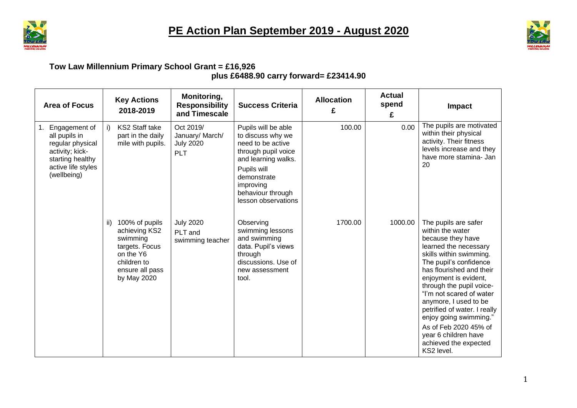



## **Tow Law Millennium Primary School Grant = £16,926 plus £6488.90 carry forward= £23414.90**

| <b>Area of Focus</b>                                                                                                           |     | <b>Key Actions</b><br>2018-2019                                                                                             | Monitoring,<br><b>Responsibility</b><br>and Timescale          | <b>Success Criteria</b>                                                                                                                                                                            | <b>Allocation</b><br>£ | <b>Actual</b><br>spend<br>£ | <b>Impact</b>                                                                                                                                                                                                                                                                                                                                                                                                                       |
|--------------------------------------------------------------------------------------------------------------------------------|-----|-----------------------------------------------------------------------------------------------------------------------------|----------------------------------------------------------------|----------------------------------------------------------------------------------------------------------------------------------------------------------------------------------------------------|------------------------|-----------------------------|-------------------------------------------------------------------------------------------------------------------------------------------------------------------------------------------------------------------------------------------------------------------------------------------------------------------------------------------------------------------------------------------------------------------------------------|
| Engagement of<br>all pupils in<br>regular physical<br>activity; kick-<br>starting healthy<br>active life styles<br>(wellbeing) | i)  | KS2 Staff take<br>part in the daily<br>mile with pupils.                                                                    | Oct 2019/<br>January/ March/<br><b>July 2020</b><br><b>PLT</b> | Pupils will be able<br>to discuss why we<br>need to be active<br>through pupil voice<br>and learning walks.<br>Pupils will<br>demonstrate<br>improving<br>behaviour through<br>lesson observations | 100.00                 | 0.00                        | The pupils are motivated<br>within their physical<br>activity. Their fitness<br>levels increase and they<br>have more stamina- Jan<br>20                                                                                                                                                                                                                                                                                            |
|                                                                                                                                | ii) | 100% of pupils<br>achieving KS2<br>swimming<br>targets. Focus<br>on the Y6<br>children to<br>ensure all pass<br>by May 2020 | <b>July 2020</b><br>PLT and<br>swimming teacher                | Observing<br>swimming lessons<br>and swimming<br>data. Pupil's views<br>through<br>discussions. Use of<br>new assessment<br>tool.                                                                  | 1700.00                | 1000.00                     | The pupils are safer<br>within the water<br>because they have<br>learned the necessary<br>skills within swimming.<br>The pupil's confidence<br>has flourished and their<br>enjoyment is evident,<br>through the pupil voice-<br>"I'm not scared of water<br>anymore, I used to be<br>petrified of water. I really<br>enjoy going swimming."<br>As of Feb 2020 45% of<br>year 6 children have<br>achieved the expected<br>KS2 level. |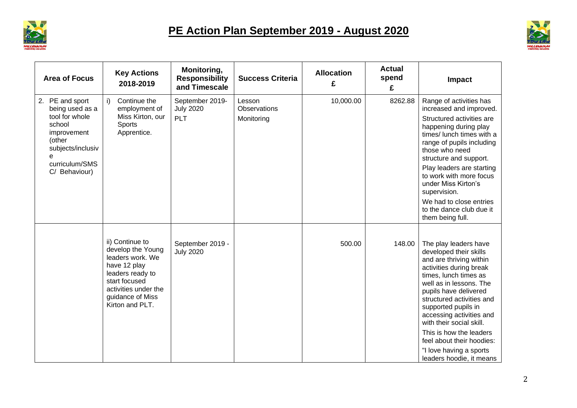



| <b>Area of Focus</b>                                                                                                                            | <b>Key Actions</b><br>2018-2019                                                                                                                                              | Monitoring,<br><b>Responsibility</b><br>and Timescale | <b>Success Criteria</b>              | <b>Allocation</b><br>£ | <b>Actual</b><br>spend<br>£ | Impact                                                                                                                                                                                                                                                                                                                                                                                                        |
|-------------------------------------------------------------------------------------------------------------------------------------------------|------------------------------------------------------------------------------------------------------------------------------------------------------------------------------|-------------------------------------------------------|--------------------------------------|------------------------|-----------------------------|---------------------------------------------------------------------------------------------------------------------------------------------------------------------------------------------------------------------------------------------------------------------------------------------------------------------------------------------------------------------------------------------------------------|
| 2. PE and sport<br>being used as a<br>tool for whole<br>school<br>improvement<br>(other<br>subjects/inclusiv<br>curriculum/SMS<br>C/ Behaviour) | i)<br>Continue the<br>employment of<br>Miss Kirton, our<br>Sports<br>Apprentice.                                                                                             | September 2019-<br><b>July 2020</b><br>PLT            | Lesson<br>Observations<br>Monitoring | 10,000.00              | 8262.88                     | Range of activities has<br>increased and improved.<br>Structured activities are<br>happening during play<br>times/ lunch times with a<br>range of pupils including<br>those who need<br>structure and support.<br>Play leaders are starting<br>to work with more focus<br>under Miss Kirton's<br>supervision.<br>We had to close entries                                                                      |
|                                                                                                                                                 |                                                                                                                                                                              |                                                       |                                      |                        |                             | to the dance club due it<br>them being full.                                                                                                                                                                                                                                                                                                                                                                  |
|                                                                                                                                                 | ii) Continue to<br>develop the Young<br>leaders work. We<br>have 12 play<br>leaders ready to<br>start focused<br>activities under the<br>guidance of Miss<br>Kirton and PLT. | September 2019 -<br><b>July 2020</b>                  |                                      | 500.00                 | 148.00                      | The play leaders have<br>developed their skills<br>and are thriving within<br>activities during break<br>times, lunch times as<br>well as in lessons. The<br>pupils have delivered<br>structured activities and<br>supported pupils in<br>accessing activities and<br>with their social skill.<br>This is how the leaders<br>feel about their hoodies:<br>"I love having a sports<br>leaders hoodie, it means |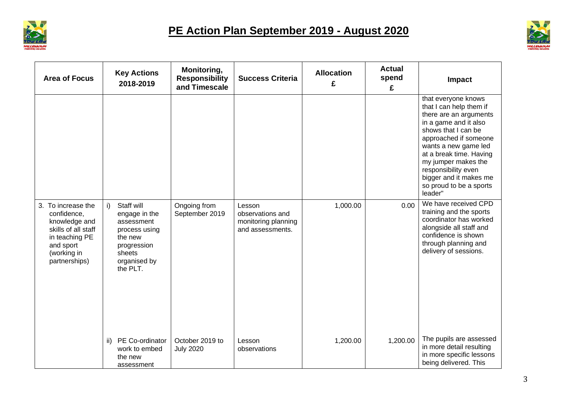



| <b>Area of Focus</b>                                                                                                                     |     | <b>Key Actions</b><br>2018-2019                                                                                            | Monitoring,<br><b>Responsibility</b><br>and Timescale | <b>Success Criteria</b>                                               | <b>Allocation</b><br>£ | <b>Actual</b><br>spend<br>£ | <b>Impact</b>                                                                                                                                                                                                                                                                                                      |
|------------------------------------------------------------------------------------------------------------------------------------------|-----|----------------------------------------------------------------------------------------------------------------------------|-------------------------------------------------------|-----------------------------------------------------------------------|------------------------|-----------------------------|--------------------------------------------------------------------------------------------------------------------------------------------------------------------------------------------------------------------------------------------------------------------------------------------------------------------|
|                                                                                                                                          |     |                                                                                                                            |                                                       |                                                                       |                        |                             | that everyone knows<br>that I can help them if<br>there are an arguments<br>in a game and it also<br>shows that I can be<br>approached if someone<br>wants a new game led<br>at a break time. Having<br>my jumper makes the<br>responsibility even<br>bigger and it makes me<br>so proud to be a sports<br>leader" |
| 3. To increase the<br>confidence,<br>knowledge and<br>skills of all staff<br>in teaching PE<br>and sport<br>(working in<br>partnerships) | i)  | Staff will<br>engage in the<br>assessment<br>process using<br>the new<br>progression<br>sheets<br>organised by<br>the PLT. | Ongoing from<br>September 2019                        | Lesson<br>observations and<br>monitoring planning<br>and assessments. | 1,000.00               | 0.00                        | We have received CPD<br>training and the sports<br>coordinator has worked<br>alongside all staff and<br>confidence is shown<br>through planning and<br>delivery of sessions.                                                                                                                                       |
|                                                                                                                                          | ii) | PE Co-ordinator<br>work to embed<br>the new<br>assessment                                                                  | October 2019 to<br><b>July 2020</b>                   | Lesson<br>observations                                                | 1,200.00               | 1,200.00                    | The pupils are assessed<br>in more detail resulting<br>in more specific lessons<br>being delivered. This                                                                                                                                                                                                           |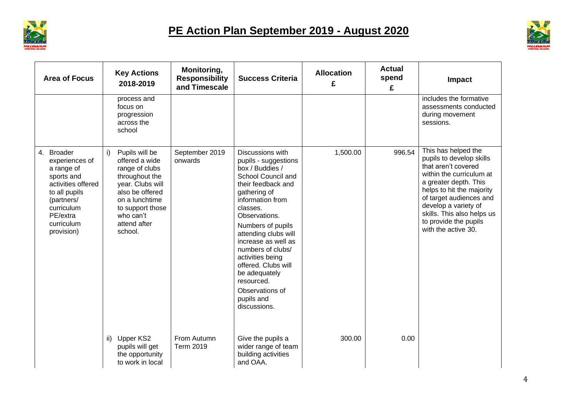



| <b>Area of Focus</b>                                                                                                                                                | <b>Key Actions</b><br>2018-2019                                                                                                                                                                 | Monitoring,<br><b>Responsibility</b><br>and Timescale | <b>Success Criteria</b>                                                                                                                                                                                                                                                                                                                                                                      | <b>Allocation</b><br>£ | <b>Actual</b><br>spend<br>£ | Impact                                                                                                                                                                                                                                                                                    |
|---------------------------------------------------------------------------------------------------------------------------------------------------------------------|-------------------------------------------------------------------------------------------------------------------------------------------------------------------------------------------------|-------------------------------------------------------|----------------------------------------------------------------------------------------------------------------------------------------------------------------------------------------------------------------------------------------------------------------------------------------------------------------------------------------------------------------------------------------------|------------------------|-----------------------------|-------------------------------------------------------------------------------------------------------------------------------------------------------------------------------------------------------------------------------------------------------------------------------------------|
|                                                                                                                                                                     | process and<br>focus on<br>progression<br>across the<br>school                                                                                                                                  |                                                       |                                                                                                                                                                                                                                                                                                                                                                                              |                        |                             | includes the formative<br>assessments conducted<br>during movement<br>sessions.                                                                                                                                                                                                           |
| 4. Broader<br>experiences of<br>a range of<br>sports and<br>activities offered<br>to all pupils<br>(partners/<br>curriculum<br>PE/extra<br>curriculum<br>provision) | Pupils will be<br>i)<br>offered a wide<br>range of clubs<br>throughout the<br>year. Clubs will<br>also be offered<br>on a lunchtime<br>to support those<br>who can't<br>attend after<br>school. | September 2019<br>onwards                             | Discussions with<br>pupils - suggestions<br>box / Buddies /<br>School Council and<br>their feedback and<br>gathering of<br>information from<br>classes.<br>Observations.<br>Numbers of pupils<br>attending clubs will<br>increase as well as<br>numbers of clubs/<br>activities being<br>offered. Clubs will<br>be adequately<br>resourced.<br>Observations of<br>pupils and<br>discussions. | 1,500.00               | 996.54                      | This has helped the<br>pupils to develop skills<br>that aren't covered<br>within the curriculum at<br>a greater depth. This<br>helps to hit the majority<br>of target audiences and<br>develop a variety of<br>skills. This also helps us<br>to provide the pupils<br>with the active 30. |
|                                                                                                                                                                     | Upper KS2<br>$\mathsf{ii}$<br>pupils will get<br>the opportunity<br>to work in local                                                                                                            | From Autumn<br><b>Term 2019</b>                       | Give the pupils a<br>wider range of team<br>building activities<br>and OAA.                                                                                                                                                                                                                                                                                                                  | 300.00                 | 0.00                        |                                                                                                                                                                                                                                                                                           |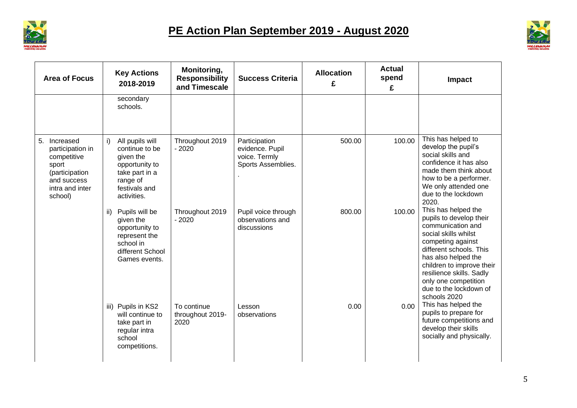



| <b>Area of Focus</b>                                                                                                    | <b>Key Actions</b><br>2018-2019                                                                                                      | Monitoring,<br><b>Responsibility</b><br>and Timescale | <b>Success Criteria</b>                                                 | <b>Allocation</b><br>£ | <b>Actual</b><br>spend<br>£ | Impact                                                                                                                                                                                                                                                                                        |
|-------------------------------------------------------------------------------------------------------------------------|--------------------------------------------------------------------------------------------------------------------------------------|-------------------------------------------------------|-------------------------------------------------------------------------|------------------------|-----------------------------|-----------------------------------------------------------------------------------------------------------------------------------------------------------------------------------------------------------------------------------------------------------------------------------------------|
|                                                                                                                         | secondary<br>schools.                                                                                                                |                                                       |                                                                         |                        |                             |                                                                                                                                                                                                                                                                                               |
| 5. Increased<br>participation in<br>competitive<br>sport<br>(participation<br>and success<br>intra and inter<br>school) | All pupils will<br>i)<br>continue to be<br>given the<br>opportunity to<br>take part in a<br>range of<br>festivals and<br>activities. | Throughout 2019<br>$-2020$                            | Participation<br>evidence. Pupil<br>voice. Termly<br>Sports Assemblies. | 500.00                 | 100.00                      | This has helped to<br>develop the pupil's<br>social skills and<br>confidence it has also<br>made them think about<br>how to be a performer.<br>We only attended one<br>due to the lockdown<br>2020.                                                                                           |
|                                                                                                                         | Pupils will be<br>ii)<br>given the<br>opportunity to<br>represent the<br>school in<br>different School<br>Games events.              | Throughout 2019<br>$-2020$                            | Pupil voice through<br>observations and<br>discussions                  | 800.00                 | 100.00                      | This has helped the<br>pupils to develop their<br>communication and<br>social skills whilst<br>competing against<br>different schools. This<br>has also helped the<br>children to improve their<br>resilience skills. Sadly<br>only one competition<br>due to the lockdown of<br>schools 2020 |
|                                                                                                                         | iii) Pupils in KS2<br>will continue to<br>take part in<br>regular intra<br>school<br>competitions.                                   | To continue<br>throughout 2019-<br>2020               | Lesson<br>observations                                                  | 0.00                   | 0.00                        | This has helped the<br>pupils to prepare for<br>future competitions and<br>develop their skills<br>socially and physically.                                                                                                                                                                   |